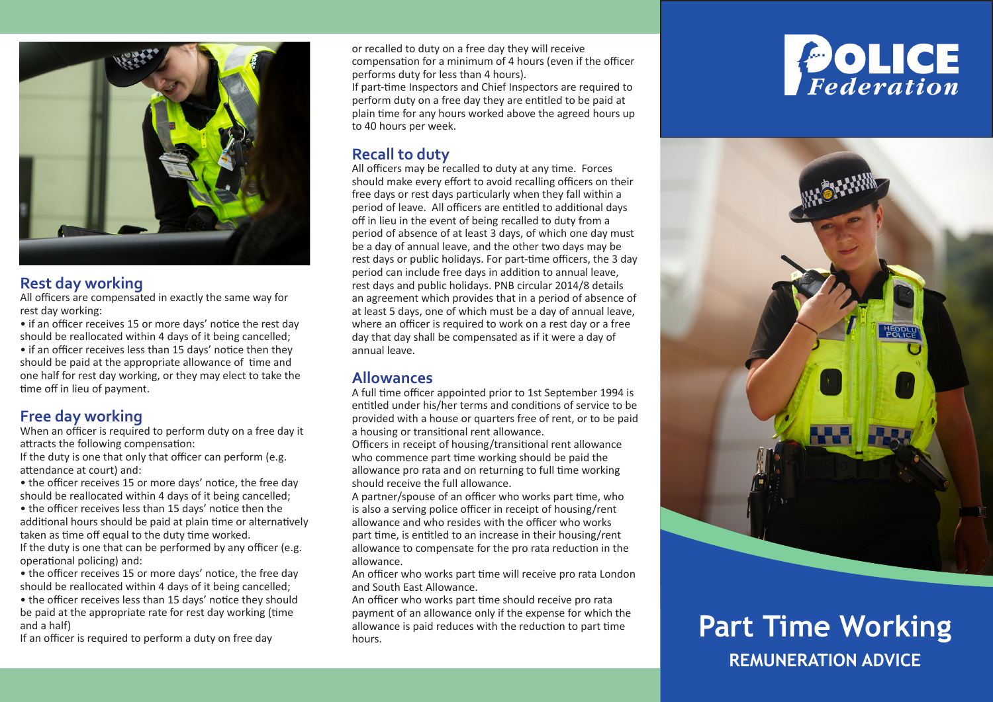

#### **Rest day working**

All officers are compensated in exactly the same way for rest day working:

• if an officer receives 15 or more days' notice the rest day should be reallocated within 4 days of it being cancelled; • if an officer receives less than 15 days' notice then they should be paid at the appropriate allowance of time and one half for rest day working, or they may elect to take the time off in lieu of payment.

# **Free day working**

When an officer is required to perform duty on a free day it attracts the following compensation:

If the duty is one that only that officer can perform (e.g. attendance at court) and:

• the officer receives 15 or more days' notice, the free day should be reallocated within 4 days of it being cancelled;

• the officer receives less than 15 days' notice then the additional hours should be paid at plain time or alternatively taken as time off equal to the duty time worked.

If the duty is one that can be performed by any officer (e.g. operational policing) and:

• the officer receives 15 or more days' notice, the free day should be reallocated within 4 days of it being cancelled;

• the officer receives less than 15 days' notice they should be paid at the appropriate rate for rest day working (time and a half)

If an officer is required to perform a duty on free day

or recalled to duty on a free day they will receive compensation for a minimum of 4 hours (even if the officer performs duty for less than 4 hours).

If part-time Inspectors and Chief Inspectors are required to perform duty on a free day they are entitled to be paid at plain time for any hours worked above the agreed hours up to 40 hours per week.

# **Recall to duty**

All officers may be recalled to duty at any time. Forces should make every effort to avoid recalling officers on their free days or rest days particularly when they fall within a period of leave. All officers are entitled to additional days off in lieu in the event of being recalled to duty from a period of absence of at least 3 days, of which one day must be a day of annual leave, and the other two days may be rest days or public holidays. For part-time officers, the 3 day period can include free days in addition to annual leave, rest days and public holidays. PNB circular 2014/8 details an agreement which provides that in a period of absence of at least 5 days, one of which must be a day of annual leave, where an officer is required to work on a rest day or a free day that day shall be compensated as if it were a day of annual leave.

#### **Allowances**

A full time officer appointed prior to 1st September 1994 is entitled under his/her terms and conditions of service to be provided with a house or quarters free of rent, or to be paid a housing or transitional rent allowance.

Officers in receipt of housing/transitional rent allowance who commence part time working should be paid the allowance pro rata and on returning to full time working should receive the full allowance.

A partner/spouse of an officer who works part time, who is also a serving police officer in receipt of housing/rent allowance and who resides with the officer who works part time, is entitled to an increase in their housing/rent allowance to compensate for the pro rata reduction in the allowance.

An officer who works part time will receive pro rata London and South East Allowance.

An officer who works part time should receive pro rata payment of an allowance only if the expense for which the allowance is paid reduces with the reduction to part time





# **Part Time Working REMUNERATION ADVICE**